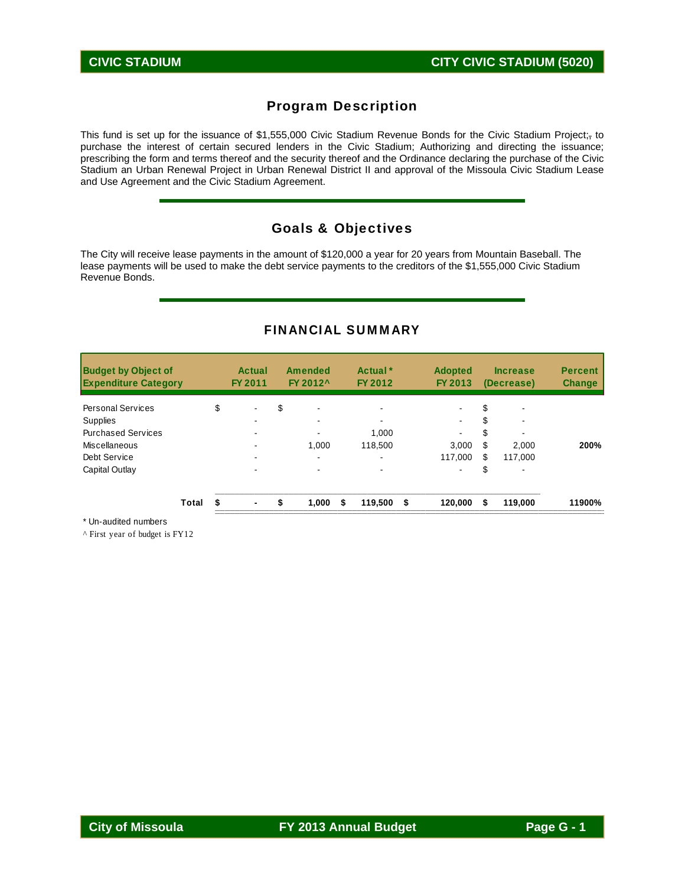# Program Description

This fund is set up for the issuance of \$1,555,000 Civic Stadium Revenue Bonds for the Civic Stadium Project;<sub>r</sub> to purchase the interest of certain secured lenders in the Civic Stadium; Authorizing and directing the issuance; prescribing the form and terms thereof and the security thereof and the Ordinance declaring the purchase of the Civic Stadium an Urban Renewal Project in Urban Renewal District II and approval of the Missoula Civic Stadium Lease and Use Agreement and the Civic Stadium Agreement.

### Goals & Objectives

The City will receive lease payments in the amount of \$120,000 a year for 20 years from Mountain Baseball. The lease payments will be used to make the debt service payments to the creditors of the \$1,555,000 Civic Stadium Revenue Bonds.

#### FINANCIAL SUMMARY

| <b>Budget by Object of</b><br><b>Expenditure Category</b> |       |    | Actual<br>FY 2011 | <b>Amended</b><br>FY 2012 <sup>^</sup> |   | Actual <sup>*</sup><br>FY 2012 | <b>Adopted</b><br>FY 2013 |    | <b>Increase</b><br>(Decrease) | <b>Percent</b><br><b>Change</b> |
|-----------------------------------------------------------|-------|----|-------------------|----------------------------------------|---|--------------------------------|---------------------------|----|-------------------------------|---------------------------------|
| <b>Personal Services</b>                                  |       | \$ |                   | \$                                     |   |                                |                           |    |                               |                                 |
| Supplies                                                  |       |    |                   |                                        |   |                                | $\blacksquare$            |    |                               |                                 |
| <b>Purchased Services</b>                                 |       |    |                   |                                        |   | 1.000                          | $\blacksquare$            |    |                               |                                 |
| Miscellaneous                                             |       |    |                   | 1.000                                  |   | 118,500                        | 3,000                     | S  | 2,000                         | 200%                            |
| Debt Service                                              |       |    |                   |                                        |   |                                | 117.000                   | S  | 117.000                       |                                 |
| Capital Outlay                                            |       |    |                   |                                        |   |                                | $\blacksquare$            | S  |                               |                                 |
|                                                           | Total | S  | $\blacksquare$    | \$<br>1.000                            | S | 119,500 \$                     | 120.000                   | \$ | 119,000                       | 11900%                          |

\* Un-audited numbers

^ First year of budget is FY12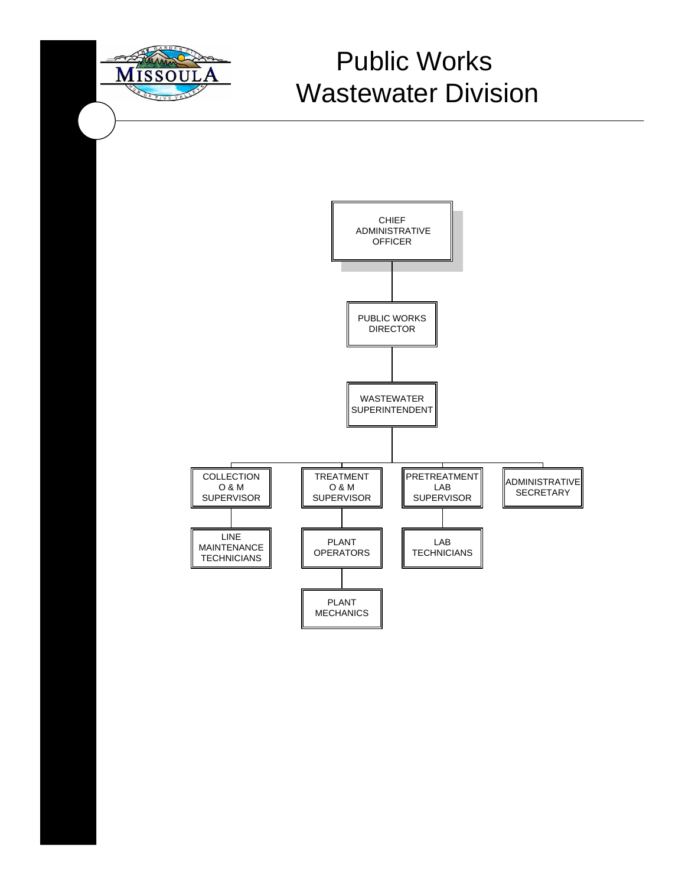

# Missoula Public Works Wastewater Division

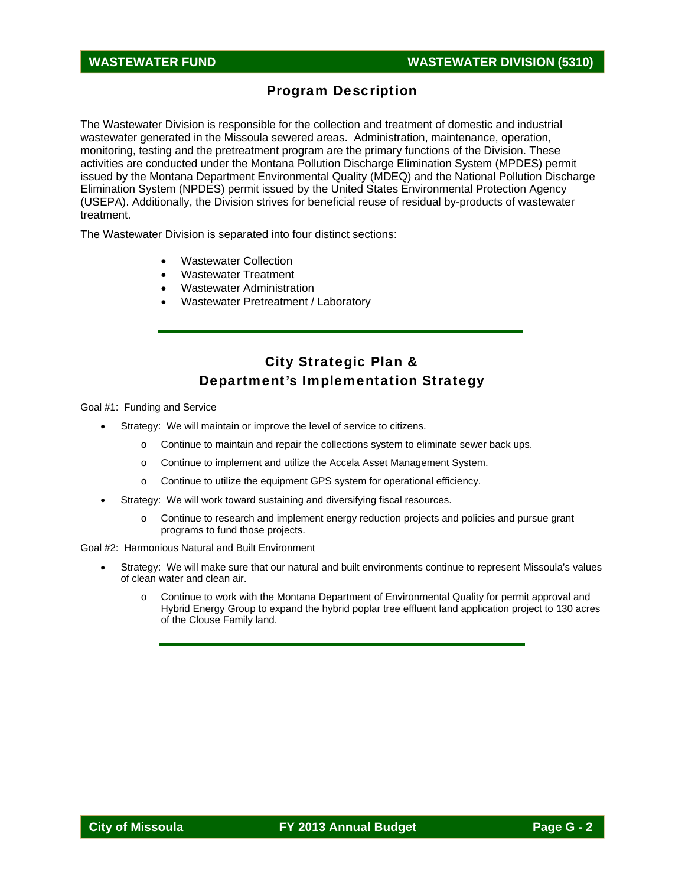# Program Description

The Wastewater Division is responsible for the collection and treatment of domestic and industrial wastewater generated in the Missoula sewered areas. Administration, maintenance, operation, monitoring, testing and the pretreatment program are the primary functions of the Division. These activities are conducted under the Montana Pollution Discharge Elimination System (MPDES) permit issued by the Montana Department Environmental Quality (MDEQ) and the National Pollution Discharge Elimination System (NPDES) permit issued by the United States Environmental Protection Agency (USEPA). Additionally, the Division strives for beneficial reuse of residual by-products of wastewater treatment.

The Wastewater Division is separated into four distinct sections:

- Wastewater Collection
- Wastewater Treatment
- Wastewater Administration
- Wastewater Pretreatment / Laboratory

# City Strategic Plan & Department's Implementation Strategy

Goal #1: Funding and Service

- Strategy: We will maintain or improve the level of service to citizens.
	- $\circ$  Continue to maintain and repair the collections system to eliminate sewer back ups.
	- o Continue to implement and utilize the Accela Asset Management System.
	- o Continue to utilize the equipment GPS system for operational efficiency.
- Strategy: We will work toward sustaining and diversifying fiscal resources.
	- o Continue to research and implement energy reduction projects and policies and pursue grant programs to fund those projects.

Goal #2: Harmonious Natural and Built Environment

- Strategy: We will make sure that our natural and built environments continue to represent Missoula's values of clean water and clean air.
	- o Continue to work with the Montana Department of Environmental Quality for permit approval and Hybrid Energy Group to expand the hybrid poplar tree effluent land application project to 130 acres of the Clouse Family land.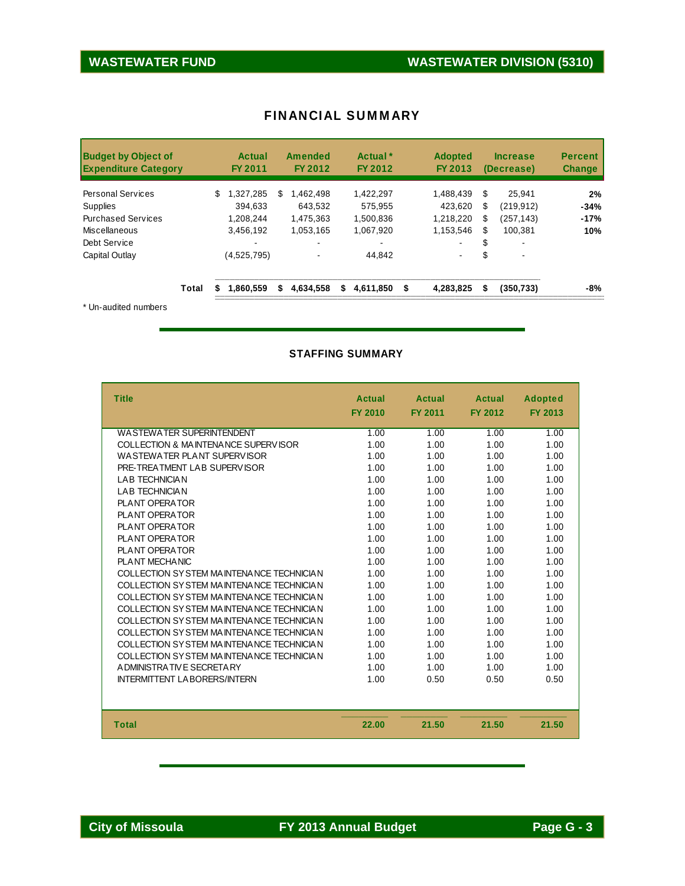| <b>Budget by Object of</b><br><b>Expenditure Category</b> |       | Actual<br>FY 2011 | <b>Amended</b><br>FY 2012 | Actual *<br>FY 2012 | <b>Adopted</b><br>FY 2013 | <b>Increase</b><br>(Decrease) | <b>Percent</b><br><b>Change</b> |
|-----------------------------------------------------------|-------|-------------------|---------------------------|---------------------|---------------------------|-------------------------------|---------------------------------|
| <b>Personal Services</b>                                  |       | 1.327.285<br>\$   | S<br>1.462.498            | 1.422.297           | 1.488.439                 | S<br>25.941                   | 2%                              |
| <b>Supplies</b>                                           |       | 394.633           | 643.532                   | 575.955             | 423.620                   | S<br>(219, 912)               | $-34%$                          |
| <b>Purchased Services</b>                                 |       | 1.208.244         | 1,475,363                 | 1,500,836           | 1,218,220                 | (257, 143)<br>S               | $-17%$                          |
| Miscellaneous                                             |       | 3.456.192         | 1.053.165                 | 1.067.920           | 1,153,546                 | 100.381<br>S                  | 10%                             |
| Debt Service                                              |       |                   |                           |                     | $\blacksquare$            | S<br>۰                        |                                 |
| Capital Outlay                                            |       | (4,525,795)       |                           | 44.842              | $\blacksquare$            | \$                            |                                 |
|                                                           | Total | 1.860.559         | 4,634,558<br>S            | 4,611,850<br>S      | 4,283,825<br>\$           | S<br>(350, 733)               | -8%                             |
| $*$ $\Box$ and $*$ and $\Box$ and $\Box$                  |       |                   |                           |                     |                           |                               |                                 |

#### FINANCIAL SUMMARY

Un-audited numbers

#### **STAFFING SUMMARY**

| <b>Title</b>                             | <b>Actual</b><br><b>FY 2010</b> | <b>Actual</b><br><b>FY 2011</b> | <b>Actual</b><br><b>FY 2012</b> | <b>Adopted</b><br><b>FY 2013</b> |
|------------------------------------------|---------------------------------|---------------------------------|---------------------------------|----------------------------------|
| WASTEWATER SUPERINTENDENT                | 1.00                            | 1.00                            | 1.00                            | 1.00                             |
| COLLECTION & MAINTENANCE SUPERVISOR      | 1.00                            | 1.00                            | 1.00                            | 1.00                             |
| WASTEWATER PLANT SUPERVISOR              | 1.00                            | 1.00                            | 1.00                            | 1.00                             |
| PRE-TREATMENT LAB SUPERVISOR             | 1.00                            | 1.00                            | 1.00                            | 1.00                             |
| <b>LAB TECHNICIAN</b>                    | 1.00                            | 1.00                            | 1.00                            | 1.00                             |
| <b>I AB TECHNICIAN</b>                   | 1.00                            | 1.00                            | 1.00                            | 1.00                             |
| PLANT OPERATOR                           | 1.00                            | 1.00                            | 1.00                            | 1.00                             |
| PLANT OPERATOR                           | 1.00                            | 1.00                            | 1.00                            | 1.00                             |
| PLANT OPFRATOR                           | 1.00                            | 1.00                            | 1.00                            | 1.00                             |
| PLANT OPERATOR                           | 1.00                            | 1.00                            | 1.00                            | 1.00                             |
| PLANT OPERATOR                           | 1.00                            | 1.00                            | 1.00                            | 1.00                             |
| PLANT MECHANIC                           | 1.00                            | 1.00                            | 1.00                            | 1.00                             |
| COLLECTION SYSTEM MAINTENANCE TECHNICIAN | 1.00                            | 1.00                            | 1.00                            | 1.00                             |
| COLLECTION SYSTEM MAINTENANCE TECHNICIAN | 1.00                            | 1.00                            | 1.00                            | 1.00                             |
| COLLECTION SYSTEM MAINTENANCE TECHNICIAN | 1.00                            | 1.00                            | 1.00                            | 1.00                             |
| COLLECTION SYSTEM MAINTENANCE TECHNICIAN | 1.00                            | 1.00                            | 1.00                            | 1.00                             |
| COLLECTION SYSTEM MAINTENANCE TECHNICIAN | 1.00                            | 1.00                            | 1.00                            | 1.00                             |
| COLLECTION SYSTEM MAINTENANCE TECHNICIAN | 1.00                            | 1.00                            | 1.00                            | 1.00                             |
| COLLECTION SYSTEM MAINTENANCE TECHNICIAN | 1.00                            | 1.00                            | 1.00                            | 1.00                             |
| COLLECTION SYSTEM MAINTENANCE TECHNICIAN | 1.00                            | 1.00                            | 1.00                            | 1.00                             |
| A DMINISTRATIVE SECRETARY                | 1.00                            | 1.00                            | 1.00                            | 1.00                             |
| <b>INTERMITTENT LABORERS/INTERN</b>      | 1.00                            | 0.50                            | 0.50                            | 0.50                             |
|                                          |                                 |                                 |                                 |                                  |
| <b>Total</b>                             | 22.00                           | 21.50                           | 21.50                           | 21.50                            |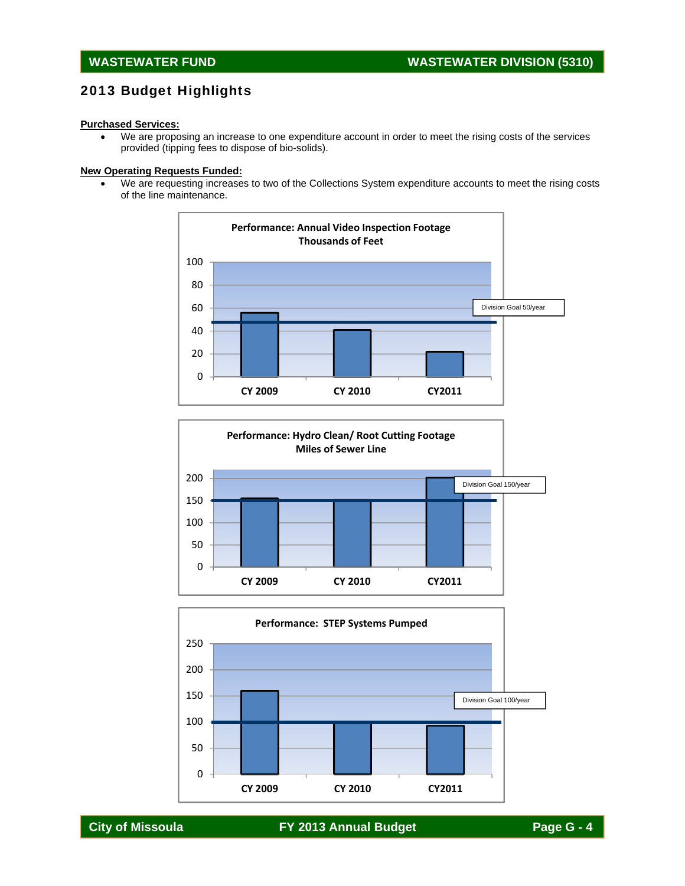# 2013 Budget Highlights

#### **Purchased Services:**

 We are proposing an increase to one expenditure account in order to meet the rising costs of the services provided (tipping fees to dispose of bio-solids).

#### **New Operating Requests Funded:**

 We are requesting increases to two of the Collections System expenditure accounts to meet the rising costs of the line maintenance.





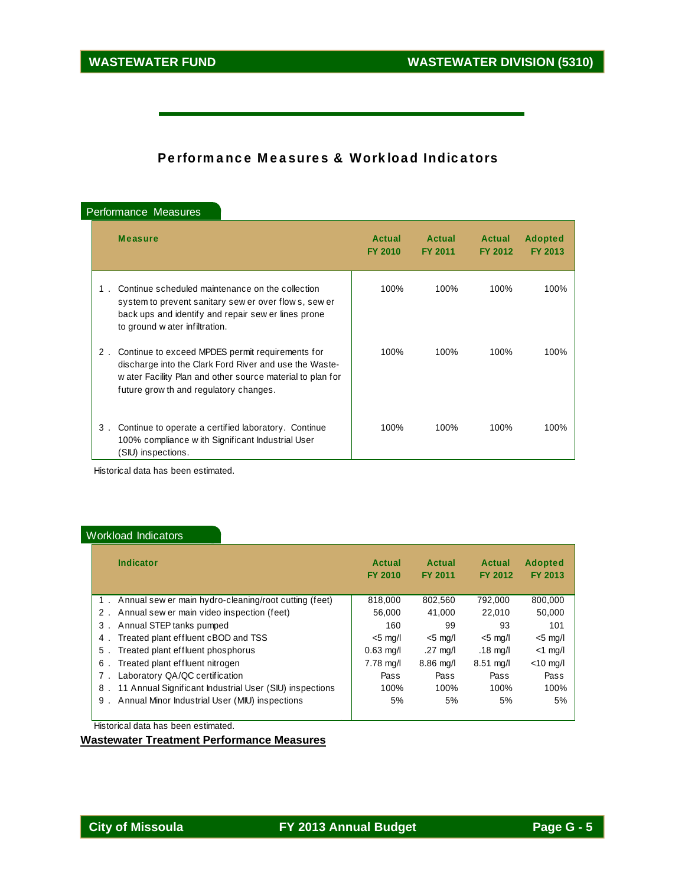# Performance Measures & Workload Indicators

| Performance Measures |  |  |
|----------------------|--|--|
|----------------------|--|--|

|    | <b>Measure</b>                                                                                                                                                                                                     | Actual<br><b>FY 2010</b> | Actual<br><b>FY 2011</b> | <b>Actual</b><br><b>FY 2012</b> | <b>Adopted</b><br><b>FY 2013</b> |
|----|--------------------------------------------------------------------------------------------------------------------------------------------------------------------------------------------------------------------|--------------------------|--------------------------|---------------------------------|----------------------------------|
|    | Continue scheduled maintenance on the collection<br>system to prevent sanitary sew er over flow s, sew er<br>back ups and identify and repair sew er lines prone<br>to ground w ater infiltration.                 | 100%                     | 100%                     | 100%                            | 100%                             |
| 2. | Continue to exceed MPDES permit requirements for<br>discharge into the Clark Ford River and use the Waste-<br>w ater Facility Plan and other source material to plan for<br>future grow th and regulatory changes. | 100%                     | 100%                     | 100%                            | 100%                             |
| 3. | Continue to operate a certified laboratory. Continue<br>100% compliance w ith Significant Industrial User<br>(SIU) inspections.                                                                                    | 100%                     | 100%                     | 100%                            | 100%                             |

Historical data has been estimated.

#### Workload Indicators

| Indicator                                                     | Actual<br><b>FY 2010</b> | Actual<br><b>FY 2011</b> | Actual<br>FY 2012   | <b>Adopted</b><br>FY 2013 |
|---------------------------------------------------------------|--------------------------|--------------------------|---------------------|---------------------------|
| 1. Annual sew er main hydro-cleaning/root cutting (feet)      | 818,000                  | 802.560                  | 792.000             | 800.000                   |
| 2. Annual sew er main video inspection (feet)                 | 56.000                   | 41.000                   | 22,010              | 50,000                    |
| Annual STEP tanks pumped<br>3.                                | 160                      | 99                       | 93                  | 101                       |
| Treated plant effluent cBOD and TSS<br>4.                     | $<$ 5 mg/l               | $<$ 5 mg/l               | $<$ 5 mg/l          | $<$ 5 mg/l                |
| Treated plant effluent phosphorus<br>5.                       | $0.63$ mg/l              | .27 $mq/l$               | .18 mg/l            | $<$ 1 mg/l                |
| Treated plant effluent nitrogen<br>6.                         | $7.78$ mg/l              | $8.86$ mg/l              | $8.51 \text{ mq/l}$ | $<$ 10 mg/l               |
| Laboratory QA/QC certification<br>$7$ .                       | Pass                     | Pass                     | Pass                | Pass                      |
| 11 Annual Significant Industrial User (SIU) inspections<br>8. | 100%                     | 100%                     | 100%                | 100%                      |
| Annual Minor Industrial User (MIU) inspections<br>9.          | 5%                       | 5%                       | 5%                  | 5%                        |

Historical data has been estimated.

**Wastewater Treatment Performance Measures**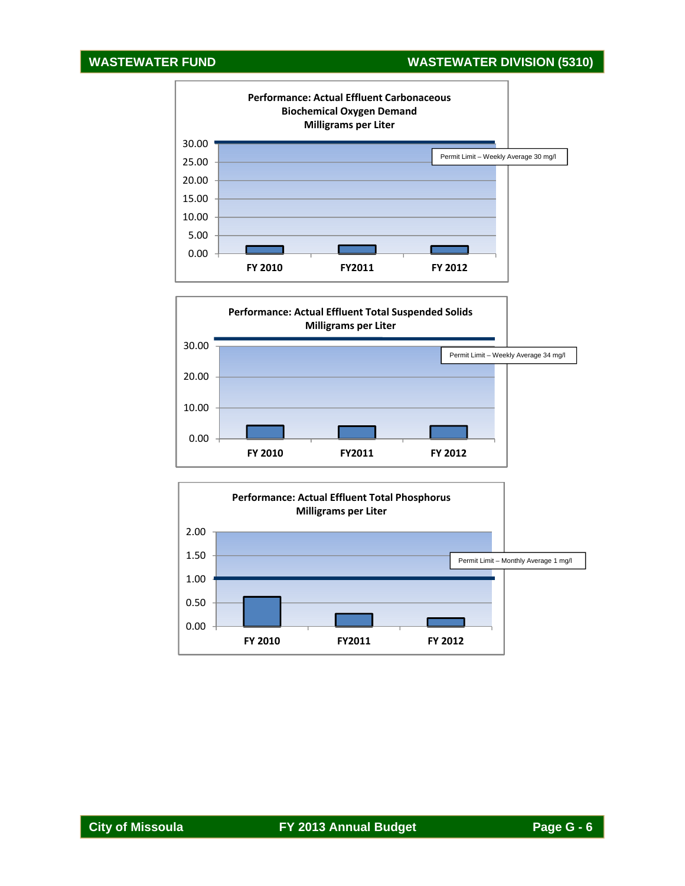# **WASTEWATER FUND WASTEWATER DIVISION (5310)**





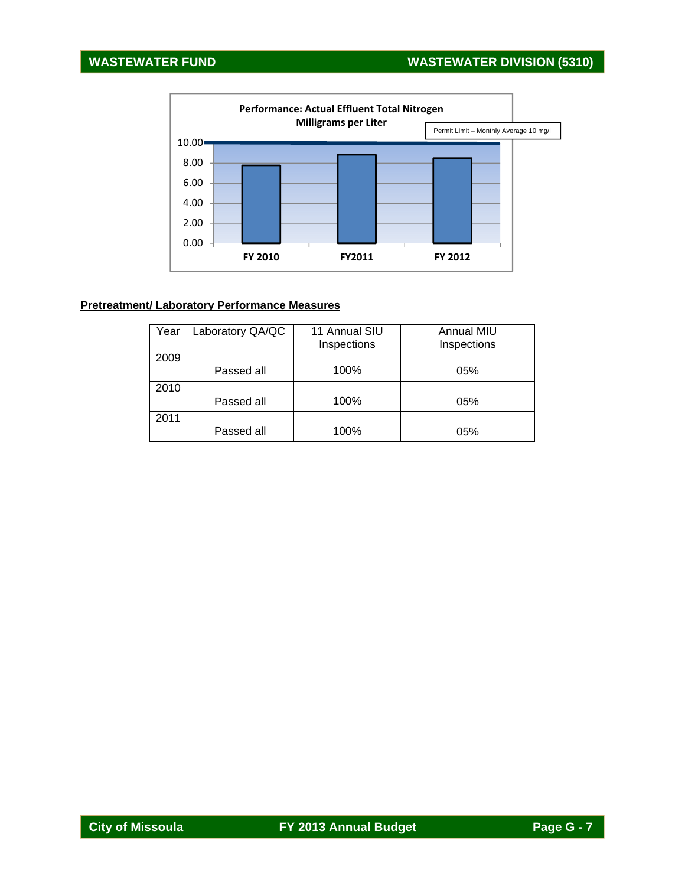# **WASTEWATER FUND WASTEWATER DIVISION (5310)**



#### **Pretreatment/ Laboratory Performance Measures**

| Year | Laboratory QA/QC | 11 Annual SIU | Annual MIU  |
|------|------------------|---------------|-------------|
|      |                  | Inspections   | Inspections |
| 2009 |                  |               |             |
|      | Passed all       | 100%          | 05%         |
| 2010 |                  |               |             |
|      | Passed all       | 100%          | 05%         |
| 2011 |                  |               |             |
|      | Passed all       | 100%          | 05%         |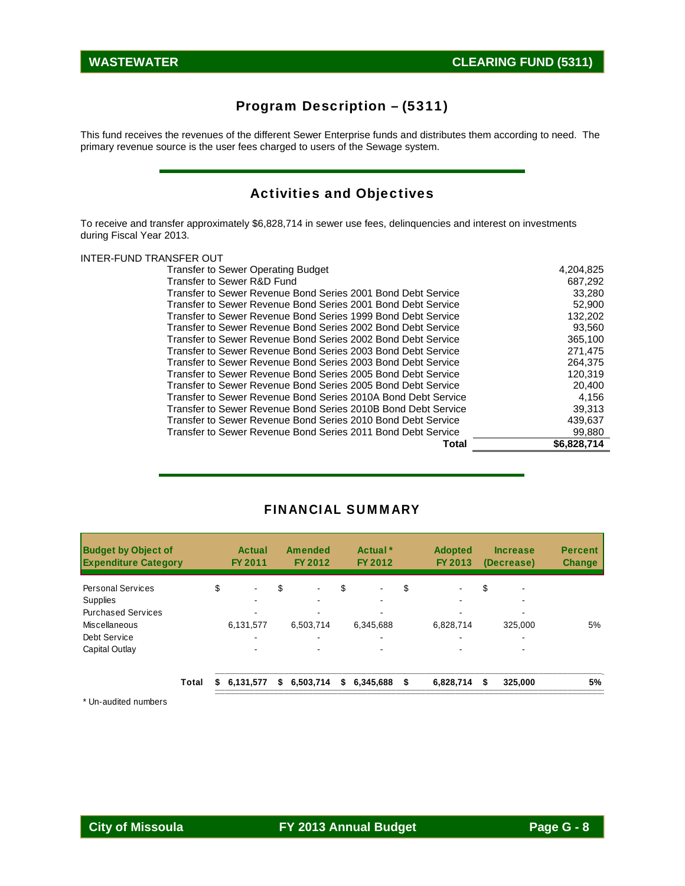# Program Description – (5311)

This fund receives the revenues of the different Sewer Enterprise funds and distributes them according to need. The primary revenue source is the user fees charged to users of the Sewage system.

# Activities and Objectives

To receive and transfer approximately \$6,828,714 in sewer use fees, delinquencies and interest on investments during Fiscal Year 2013.

#### INTER-FUND TRANSFER OUT

| Total                                                         | \$6,828,714 |
|---------------------------------------------------------------|-------------|
| Transfer to Sewer Revenue Bond Series 2011 Bond Debt Service  | 99,880      |
| Transfer to Sewer Revenue Bond Series 2010 Bond Debt Service  | 439,637     |
| Transfer to Sewer Revenue Bond Series 2010B Bond Debt Service | 39,313      |
| Transfer to Sewer Revenue Bond Series 2010A Bond Debt Service | 4,156       |
| Transfer to Sewer Revenue Bond Series 2005 Bond Debt Service  | 20,400      |
| Transfer to Sewer Revenue Bond Series 2005 Bond Debt Service  | 120.319     |
| Transfer to Sewer Revenue Bond Series 2003 Bond Debt Service  | 264,375     |
| Transfer to Sewer Revenue Bond Series 2003 Bond Debt Service  | 271.475     |
| Transfer to Sewer Revenue Bond Series 2002 Bond Debt Service  | 365,100     |
| Transfer to Sewer Revenue Bond Series 2002 Bond Debt Service  | 93,560      |
| Transfer to Sewer Revenue Bond Series 1999 Bond Debt Service  | 132,202     |
| Transfer to Sewer Revenue Bond Series 2001 Bond Debt Service  | 52,900      |
| Transfer to Sewer Revenue Bond Series 2001 Bond Debt Service  | 33,280      |
| Transfer to Sewer R&D Fund                                    | 687,292     |
| <b>Transfer to Sewer Operating Budget</b>                     | 4,204,825   |
|                                                               |             |

#### FINANCIAL SUMMARY

| <b>Budget by Object of</b><br><b>Expenditure Category</b> |       | <b>Actual</b><br>FY 2011 |    | Amended<br>FY 2012 | Actual <sup>*</sup><br>FY 2012 | <b>Adopted</b><br>FY 2013 | <b>Increase</b><br>(Decrease) | <b>Percent</b><br><b>Change</b> |
|-----------------------------------------------------------|-------|--------------------------|----|--------------------|--------------------------------|---------------------------|-------------------------------|---------------------------------|
| <b>Personal Services</b>                                  |       | \$<br>$\blacksquare$     | \$ | $\blacksquare$     | \$                             | \$                        | \$                            |                                 |
| <b>Supplies</b>                                           |       |                          |    |                    |                                |                           |                               |                                 |
| <b>Purchased Services</b>                                 |       |                          |    |                    |                                |                           |                               |                                 |
| Miscellaneous                                             |       | 6,131,577                |    | 6,503,714          | 6,345,688                      | 6,828,714                 | 325.000                       | 5%                              |
| Debt Service                                              |       |                          |    |                    |                                |                           |                               |                                 |
| Capital Outlay                                            |       |                          |    |                    |                                |                           | ۰                             |                                 |
|                                                           | Total | \$6,131,577              | S. | 6,503,714          | \$<br>6,345,688 \$             | 6,828,714                 | \$<br>325,000                 | 5%                              |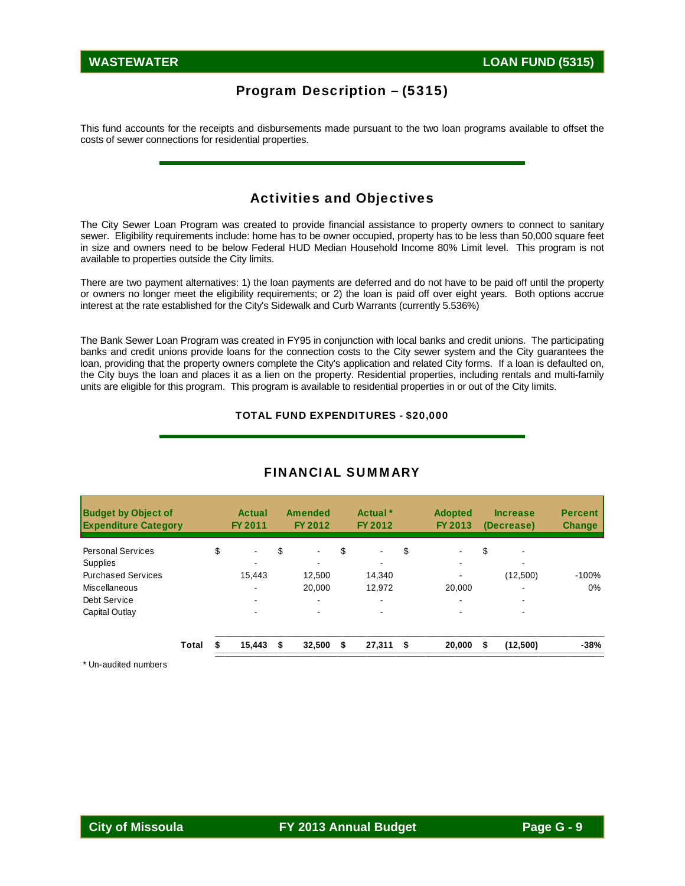### Program Description – (5315)

This fund accounts for the receipts and disbursements made pursuant to the two loan programs available to offset the costs of sewer connections for residential properties.

### Activities and Objectives

The City Sewer Loan Program was created to provide financial assistance to property owners to connect to sanitary sewer. Eligibility requirements include: home has to be owner occupied, property has to be less than 50,000 square feet in size and owners need to be below Federal HUD Median Household Income 80% Limit level. This program is not available to properties outside the City limits.

There are two payment alternatives: 1) the loan payments are deferred and do not have to be paid off until the property or owners no longer meet the eligibility requirements; or 2) the loan is paid off over eight years. Both options accrue interest at the rate established for the City's Sidewalk and Curb Warrants (currently 5.536%)

The Bank Sewer Loan Program was created in FY95 in conjunction with local banks and credit unions. The participating banks and credit unions provide loans for the connection costs to the City sewer system and the City guarantees the loan, providing that the property owners complete the City's application and related City forms. If a loan is defaulted on, the City buys the loan and places it as a lien on the property. Residential properties, including rentals and multi-family units are eligible for this program. This program is available to residential properties in or out of the City limits.

#### TOTAL FUND EXPENDITURES - \$20,000

| <b>Budget by Object of</b><br><b>Expenditure Category</b> |       |    | Actual<br>FY 2011 | <b>Amended</b><br>FY 2012 |    | Actual <sup>*</sup><br>FY 2012 | <b>Adopted</b><br>FY 2013 | <b>Increase</b><br>(Decrease)  | <b>Percent</b><br><b>Change</b> |
|-----------------------------------------------------------|-------|----|-------------------|---------------------------|----|--------------------------------|---------------------------|--------------------------------|---------------------------------|
| <b>Personal Services</b>                                  |       | \$ | $\blacksquare$    | \$<br>$\blacksquare$      | \$ | $\blacksquare$                 | \$<br>$\blacksquare$      | \$<br>$\overline{\phantom{0}}$ |                                 |
| Supplies                                                  |       |    |                   |                           |    |                                |                           |                                |                                 |
| <b>Purchased Services</b>                                 |       |    | 15.443            | 12,500                    |    | 14.340                         |                           | (12,500)                       | $-100%$                         |
| Miscellaneous                                             |       |    |                   | 20,000                    |    | 12.972                         | 20,000                    |                                | $0\%$                           |
| Debt Service                                              |       |    | ۰.                | $\blacksquare$            |    |                                | $\overline{\phantom{0}}$  |                                |                                 |
| Capital Outlay                                            |       |    | ٠                 |                           |    |                                |                           | ٠                              |                                 |
|                                                           | Total | S  | 15,443            | \$<br>32,500              | S  | 27.311                         | \$<br>20,000              | \$<br>(12,500)                 | $-38%$                          |

#### FINANCIAL SUMMARY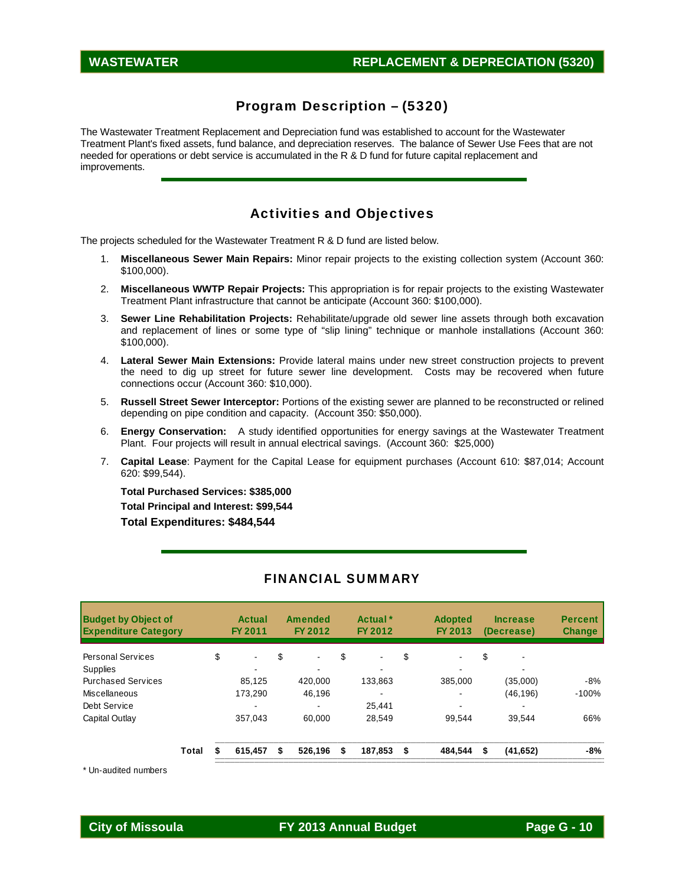#### Program Description – (5320)

The Wastewater Treatment Replacement and Depreciation fund was established to account for the Wastewater Treatment Plant's fixed assets, fund balance, and depreciation reserves. The balance of Sewer Use Fees that are not needed for operations or debt service is accumulated in the R & D fund for future capital replacement and improvements.

#### Activities and Objectives

The projects scheduled for the Wastewater Treatment R & D fund are listed below.

- 1. **Miscellaneous Sewer Main Repairs:** Minor repair projects to the existing collection system (Account 360: \$100,000).
- 2. **Miscellaneous WWTP Repair Projects:** This appropriation is for repair projects to the existing Wastewater Treatment Plant infrastructure that cannot be anticipate (Account 360: \$100,000).
- 3. **Sewer Line Rehabilitation Projects:** Rehabilitate/upgrade old sewer line assets through both excavation and replacement of lines or some type of "slip lining" technique or manhole installations (Account 360: \$100,000).
- 4. **Lateral Sewer Main Extensions:** Provide lateral mains under new street construction projects to prevent the need to dig up street for future sewer line development. Costs may be recovered when future connections occur (Account 360: \$10,000).
- 5. **Russell Street Sewer Interceptor:** Portions of the existing sewer are planned to be reconstructed or relined depending on pipe condition and capacity. (Account 350: \$50,000).
- 6. **Energy Conservation:** A study identified opportunities for energy savings at the Wastewater Treatment Plant. Four projects will result in annual electrical savings. (Account 360: \$25,000)
- 7. **Capital Lease**: Payment for the Capital Lease for equipment purchases (Account 610: \$87,014; Account 620: \$99,544).

**Total Purchased Services: \$385,000 Total Principal and Interest: \$99,544 Total Expenditures: \$484,544** 

| <b>Budget by Object of</b><br><b>Expenditure Category</b> |       |    | Actual<br>FY 2011 | <b>Amended</b><br>FY 2012 | Actual <sup>*</sup><br>FY 2012 | <b>Adopted</b><br>FY 2013 |    | <b>Increase</b><br>(Decrease) | <b>Percent</b><br><b>Change</b> |
|-----------------------------------------------------------|-------|----|-------------------|---------------------------|--------------------------------|---------------------------|----|-------------------------------|---------------------------------|
| <b>Personal Services</b>                                  |       | \$ | $\blacksquare$    | \$<br>$\blacksquare$      | \$                             | \$<br>$\blacksquare$      | \$ | $\overline{\phantom{0}}$      |                                 |
| <b>Supplies</b>                                           |       |    |                   |                           |                                |                           |    | -                             |                                 |
| <b>Purchased Services</b>                                 |       |    | 85.125            | 420.000                   | 133.863                        | 385,000                   |    | (35,000)                      | -8%                             |
| Miscellaneous                                             |       |    | 173.290           | 46,196                    |                                | -                         |    | (46, 196)                     | $-100%$                         |
| Debt Service                                              |       |    |                   |                           | 25.441                         |                           |    |                               |                                 |
| Capital Outlay                                            |       |    | 357.043           | 60.000                    | 28.549                         | 99.544                    |    | 39.544                        | 66%                             |
|                                                           | Total | S  | 615,457           | \$<br>526,196             | \$<br>187.853                  | \$<br>484.544             | S  | (41, 652)                     | -8%                             |

#### FINANCIAL SUMMARY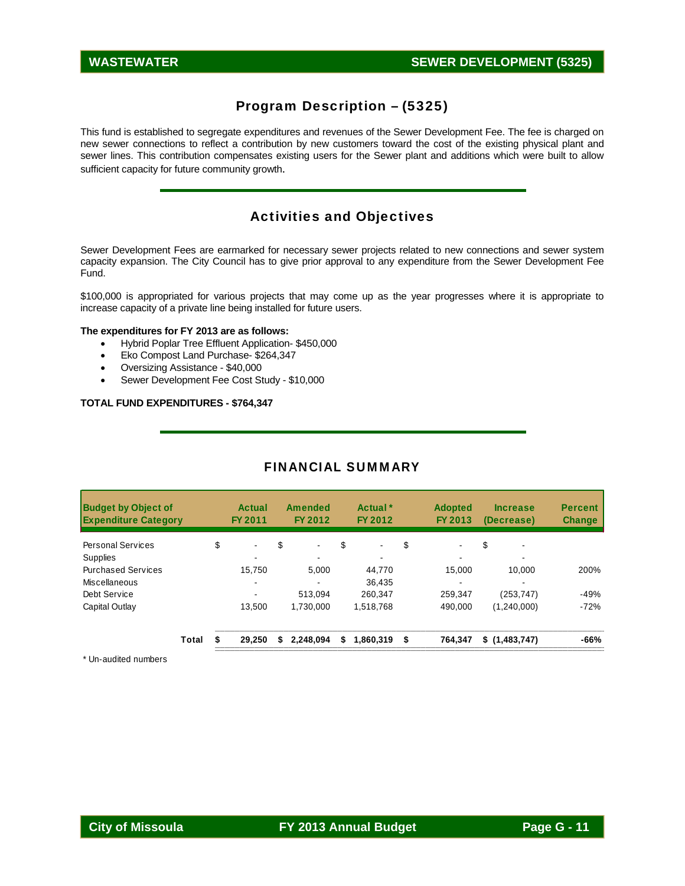# Program Description – (5325)

This fund is established to segregate expenditures and revenues of the Sewer Development Fee. The fee is charged on new sewer connections to reflect a contribution by new customers toward the cost of the existing physical plant and sewer lines. This contribution compensates existing users for the Sewer plant and additions which were built to allow sufficient capacity for future community growth.

# Activities and Objectives

Sewer Development Fees are earmarked for necessary sewer projects related to new connections and sewer system capacity expansion. The City Council has to give prior approval to any expenditure from the Sewer Development Fee Fund.

\$100,000 is appropriated for various projects that may come up as the year progresses where it is appropriate to increase capacity of a private line being installed for future users.

#### **The expenditures for FY 2013 are as follows:**

- Hybrid Poplar Tree Effluent Application- \$450,000
- Eko Compost Land Purchase- \$264,347
- Oversizing Assistance \$40,000
- Sewer Development Fee Cost Study \$10,000

#### **TOTAL FUND EXPENDITURES - \$764,347**

### FINANCIAL SUMMARY

|       | Actual<br>FY 2011 | FY 2012              |                | Actual <sup>*</sup><br>FY 2012 | <b>Adopted</b><br>FY 2013      | <b>Increase</b><br>(Decrease)  | <b>Percent</b><br><b>Change</b> |
|-------|-------------------|----------------------|----------------|--------------------------------|--------------------------------|--------------------------------|---------------------------------|
|       | $\blacksquare$    | \$<br>$\blacksquare$ | \$             | $\blacksquare$                 | \$<br>$\overline{\phantom{a}}$ | \$<br>$\overline{\phantom{0}}$ |                                 |
|       |                   |                      |                |                                |                                |                                |                                 |
|       | 15.750            | 5.000                |                | 44.770                         | 15.000                         | 10.000                         | 200%                            |
|       |                   |                      |                | 36.435                         |                                |                                |                                 |
|       |                   | 513.094              |                | 260.347                        | 259.347                        | (253.747)                      | $-49%$                          |
|       | 13.500            | 1.730.000            |                | 1,518,768                      | 490.000                        | (1,240,000)                    | $-72%$                          |
| Total | 29,250            | \$<br>2,248,094      | \$             |                                | \$<br>764.347                  | \$(1,483,747)                  | -66%                            |
|       |                   | \$                   | <b>Amended</b> |                                | 1,860,319                      |                                |                                 |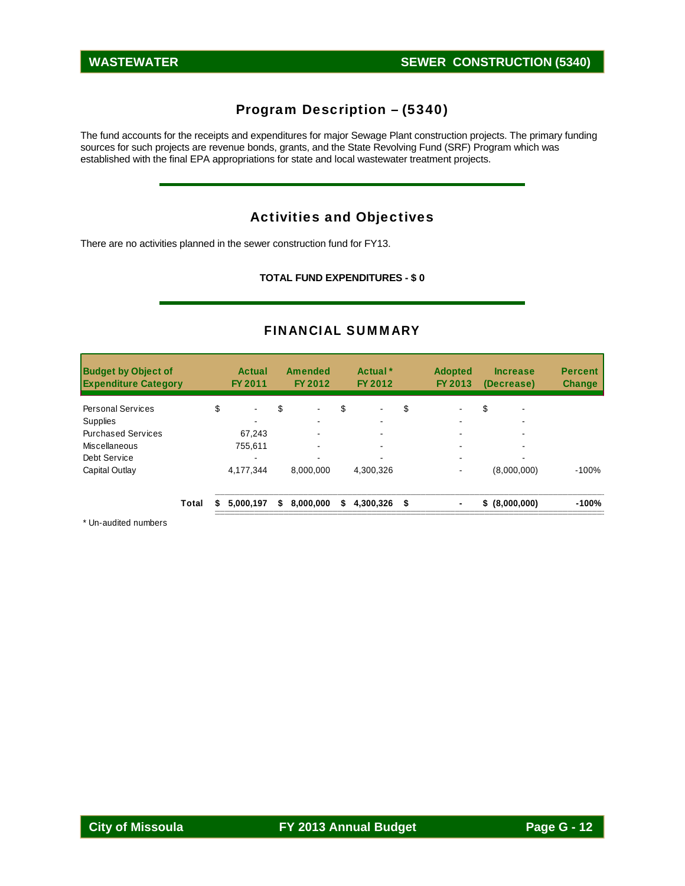# Program Description – (5340)

The fund accounts for the receipts and expenditures for major Sewage Plant construction projects. The primary funding sources for such projects are revenue bonds, grants, and the State Revolving Fund (SRF) Program which was established with the final EPA appropriations for state and local wastewater treatment projects.

### Activities and Objectives

There are no activities planned in the sewer construction fund for FY13.

**TOTAL FUND EXPENDITURES - \$ 0** 

#### FINANCIAL SUMMARY

| <b>Budget by Object of</b><br><b>Expenditure Category</b> |       |    | Actual<br>FY 2011 |    | <b>Amended</b><br>FY 2012 |    | Actual <sup>*</sup><br>FY 2012 | <b>Adopted</b><br>FY 2013 | <b>Increase</b><br>(Decrease) | <b>Percent</b><br><b>Change</b> |
|-----------------------------------------------------------|-------|----|-------------------|----|---------------------------|----|--------------------------------|---------------------------|-------------------------------|---------------------------------|
| <b>Personal Services</b>                                  |       | \$ | $\blacksquare$    | \$ | $\blacksquare$            | \$ | $\blacksquare$                 | \$                        | \$<br>٠                       |                                 |
| Supplies                                                  |       |    |                   |    |                           |    |                                |                           |                               |                                 |
| <b>Purchased Services</b>                                 |       |    | 67.243            |    |                           |    |                                |                           |                               |                                 |
| Miscellaneous                                             |       |    | 755.611           |    |                           |    |                                |                           |                               |                                 |
| Debt Service                                              |       |    |                   |    |                           |    |                                |                           |                               |                                 |
| Capital Outlay                                            |       |    | 4.177.344         |    | 8.000.000                 |    | 4.300.326                      |                           | (8,000,000)                   | $-100%$                         |
|                                                           | Total | S. | 5,000,197         | s. | 8,000,000                 | S. | 4,300,326 \$                   |                           | \$ (8,000,000)                | $-100%$                         |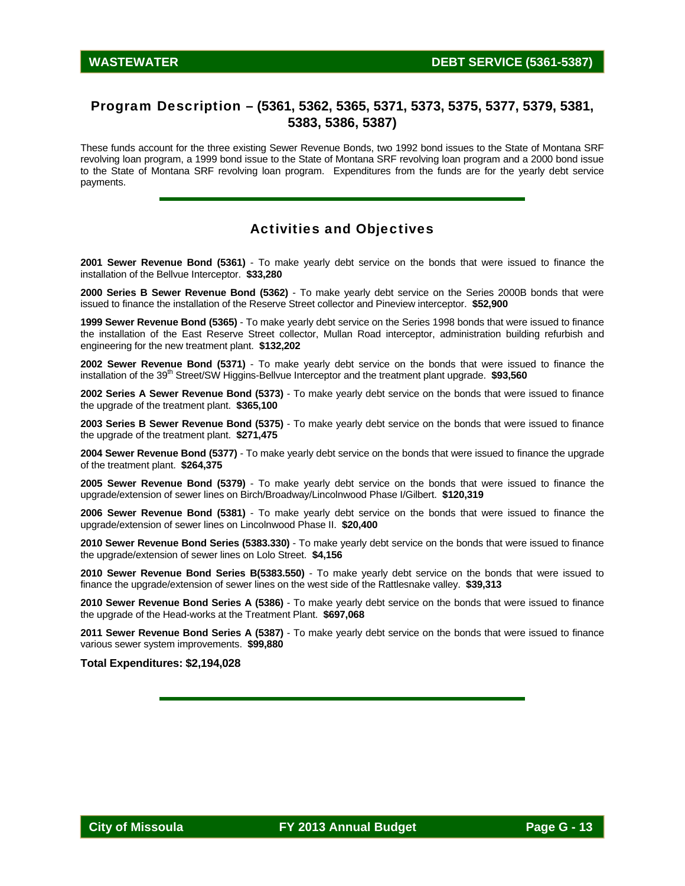### Program Description – **(5361, 5362, 5365, 5371, 5373, 5375, 5377, 5379, 5381, 5383, 5386, 5387)**

These funds account for the three existing Sewer Revenue Bonds, two 1992 bond issues to the State of Montana SRF revolving loan program, a 1999 bond issue to the State of Montana SRF revolving loan program and a 2000 bond issue to the State of Montana SRF revolving loan program. Expenditures from the funds are for the yearly debt service payments.

### Activities and Objectives

**2001 Sewer Revenue Bond (5361)** - To make yearly debt service on the bonds that were issued to finance the installation of the Bellvue Interceptor. **\$33,280** 

**2000 Series B Sewer Revenue Bond (5362)** - To make yearly debt service on the Series 2000B bonds that were issued to finance the installation of the Reserve Street collector and Pineview interceptor. **\$52,900** 

**1999 Sewer Revenue Bond (5365)** - To make yearly debt service on the Series 1998 bonds that were issued to finance the installation of the East Reserve Street collector, Mullan Road interceptor, administration building refurbish and engineering for the new treatment plant. **\$132,202**

**2002 Sewer Revenue Bond (5371)** - To make yearly debt service on the bonds that were issued to finance the installation of the 39<sup>th</sup> Street/SW Higgins-Bellvue Interceptor and the treatment plant upgrade. **\$93,560** 

**2002 Series A Sewer Revenue Bond (5373)** - To make yearly debt service on the bonds that were issued to finance the upgrade of the treatment plant. **\$365,100** 

**2003 Series B Sewer Revenue Bond (5375)** - To make yearly debt service on the bonds that were issued to finance the upgrade of the treatment plant. **\$271,475** 

**2004 Sewer Revenue Bond (5377)** - To make yearly debt service on the bonds that were issued to finance the upgrade of the treatment plant. **\$264,375** 

**2005 Sewer Revenue Bond (5379)** - To make yearly debt service on the bonds that were issued to finance the upgrade/extension of sewer lines on Birch/Broadway/Lincolnwood Phase I/Gilbert. **\$120,319** 

**2006 Sewer Revenue Bond (5381)** - To make yearly debt service on the bonds that were issued to finance the upgrade/extension of sewer lines on Lincolnwood Phase II. **\$20,400** 

**2010 Sewer Revenue Bond Series (5383.330)** - To make yearly debt service on the bonds that were issued to finance the upgrade/extension of sewer lines on Lolo Street. **\$4,156** 

**2010 Sewer Revenue Bond Series B(5383.550)** - To make yearly debt service on the bonds that were issued to finance the upgrade/extension of sewer lines on the west side of the Rattlesnake valley. **\$39,313** 

**2010 Sewer Revenue Bond Series A (5386)** - To make yearly debt service on the bonds that were issued to finance the upgrade of the Head-works at the Treatment Plant. **\$697,068** 

**2011 Sewer Revenue Bond Series A (5387)** - To make yearly debt service on the bonds that were issued to finance various sewer system improvements. **\$99,880** 

**Total Expenditures: \$2,194,028**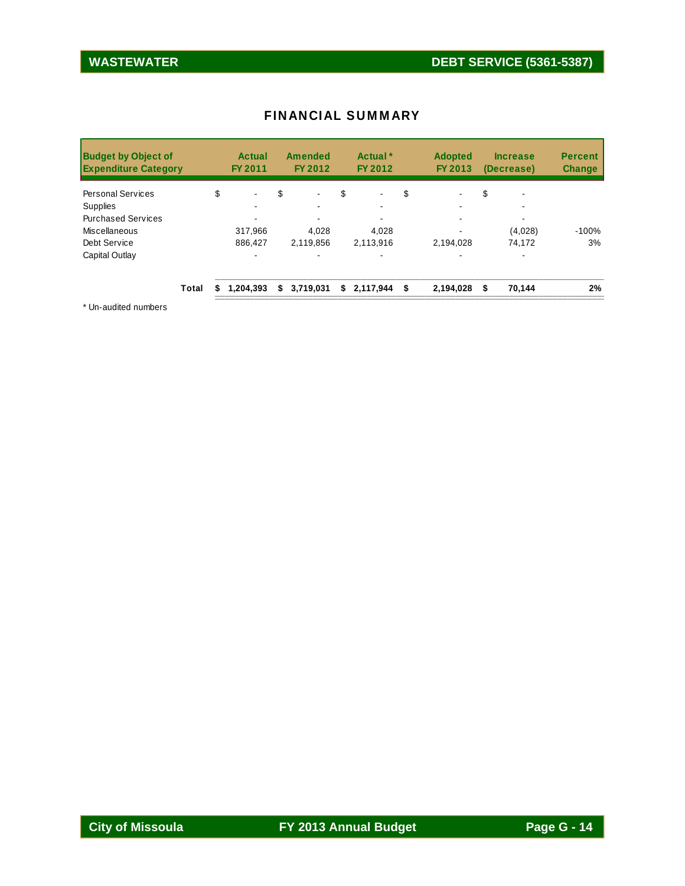| <b>FINANCIAL SUMMARY</b> |  |
|--------------------------|--|
|--------------------------|--|

| <b>Budget by Object of</b><br><b>Expenditure Category</b> |       | Actual<br>FY 2011    | <b>Amended</b><br>FY 2012 |    | Actual <sup>*</sup><br>FY 2012 | <b>Adopted</b><br>FY 2013 | <b>Increase</b><br>(Decrease) |         | <b>Percent</b><br><b>Change</b> |
|-----------------------------------------------------------|-------|----------------------|---------------------------|----|--------------------------------|---------------------------|-------------------------------|---------|---------------------------------|
| <b>Personal Services</b>                                  |       | \$<br>$\blacksquare$ | \$<br>$\blacksquare$      | \$ | $\blacksquare$                 | \$                        | \$                            | ۰       |                                 |
| <b>Supplies</b>                                           |       |                      |                           |    |                                | -                         |                               |         |                                 |
| <b>Purchased Services</b>                                 |       |                      |                           |    |                                |                           |                               |         |                                 |
| Miscellaneous                                             |       | 317.966              | 4,028                     |    | 4,028                          |                           |                               | (4,028) | $-100%$                         |
| Debt Service                                              |       | 886.427              | 2,119,856                 |    | 2,113,916                      | 2,194,028                 |                               | 74,172  | 3%                              |
| Capital Outlay                                            |       |                      |                           |    |                                |                           |                               |         |                                 |
|                                                           | Total | 1,204,393            | \$3,719,031               | S. | 2,117,944                      | \$<br>2,194,028           | £.                            | 70,144  | 2%                              |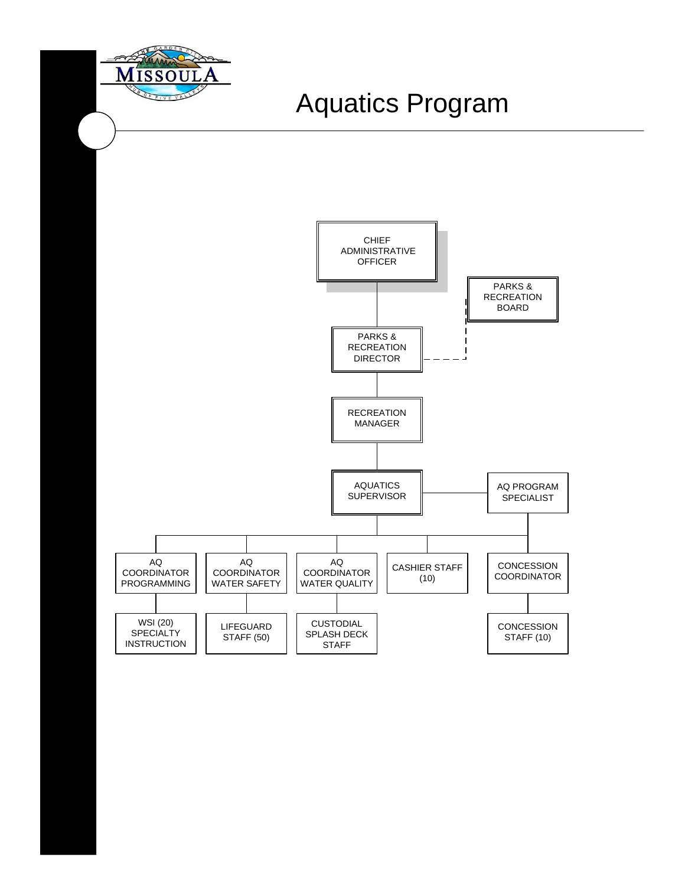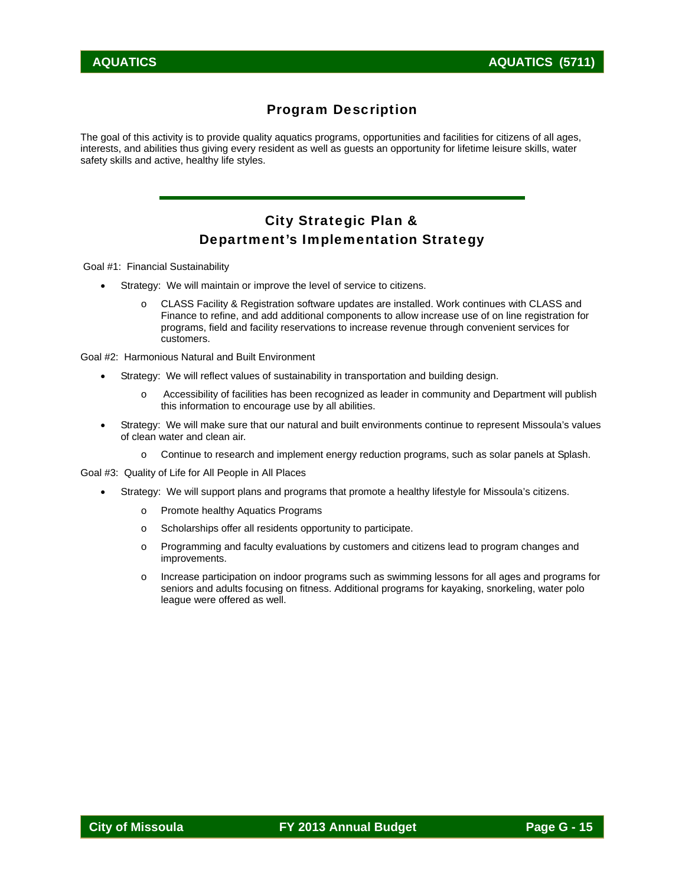# Program Description

The goal of this activity is to provide quality aquatics programs, opportunities and facilities for citizens of all ages, interests, and abilities thus giving every resident as well as guests an opportunity for lifetime leisure skills, water safety skills and active, healthy life styles.

# City Strategic Plan & Department's Implementation Strategy

Goal #1: Financial Sustainability

- Strategy: We will maintain or improve the level of service to citizens.
	- o CLASS Facility & Registration software updates are installed. Work continues with CLASS and Finance to refine, and add additional components to allow increase use of on line registration for programs, field and facility reservations to increase revenue through convenient services for customers.

Goal #2: Harmonious Natural and Built Environment

- Strategy: We will reflect values of sustainability in transportation and building design.
	- o Accessibility of facilities has been recognized as leader in community and Department will publish this information to encourage use by all abilities.
- Strategy: We will make sure that our natural and built environments continue to represent Missoula's values of clean water and clean air.
	- o Continue to research and implement energy reduction programs, such as solar panels at Splash.

Goal #3: Quality of Life for All People in All Places

- Strategy: We will support plans and programs that promote a healthy lifestyle for Missoula's citizens.
	- o Promote healthy Aquatics Programs
	- o Scholarships offer all residents opportunity to participate.
	- o Programming and faculty evaluations by customers and citizens lead to program changes and improvements.
	- o Increase participation on indoor programs such as swimming lessons for all ages and programs for seniors and adults focusing on fitness. Additional programs for kayaking, snorkeling, water polo league were offered as well.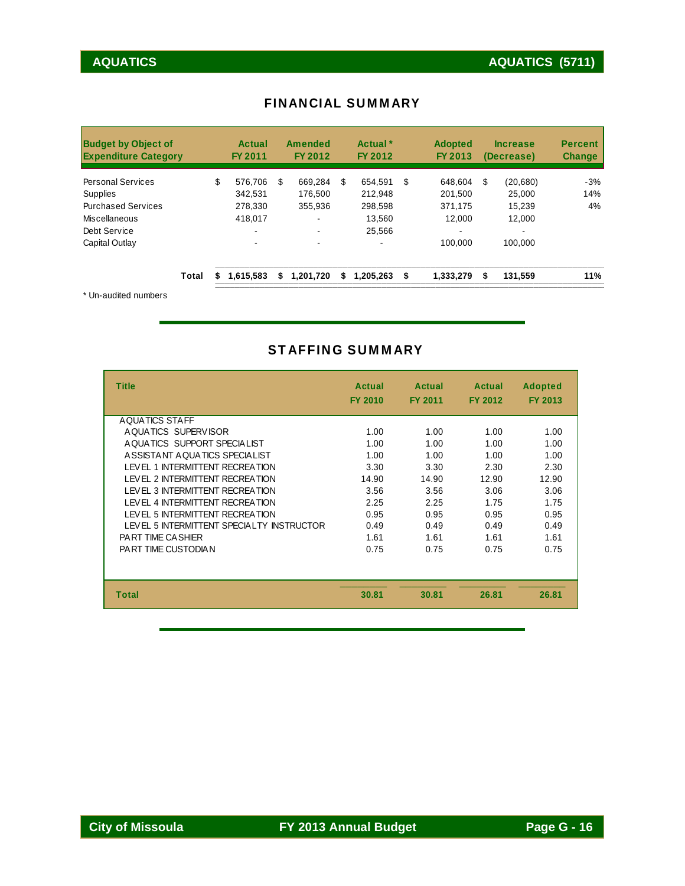| <b>Budget by Object of</b><br><b>Expenditure Category</b> |       |    | <b>Actual</b><br>FY 2011 |    | <b>Amended</b><br>FY 2012 |    | Actual <sup>*</sup><br>FY 2012 | <b>Adopted</b><br>FY 2013 |    | <b>Increase</b><br>(Decrease) | <b>Percent</b><br><b>Change</b> |
|-----------------------------------------------------------|-------|----|--------------------------|----|---------------------------|----|--------------------------------|---------------------------|----|-------------------------------|---------------------------------|
| <b>Personal Services</b>                                  |       | \$ | 576.706                  | \$ | 669.284                   | S  | 654.591                        | \$<br>648.604             | S  | (20, 680)                     | $-3%$                           |
| <b>Supplies</b>                                           |       |    | 342.531                  |    | 176.500                   |    | 212.948                        | 201.500                   |    | 25,000                        | 14%                             |
| <b>Purchased Services</b>                                 |       |    | 278.330                  |    | 355.936                   |    | 298.598                        | 371.175                   |    | 15.239                        | 4%                              |
| Miscellaneous                                             |       |    | 418.017                  |    |                           |    | 13.560                         | 12.000                    |    | 12.000                        |                                 |
| Debt Service                                              |       |    | -                        |    |                           |    | 25.566                         | -                         |    |                               |                                 |
| Capital Outlay                                            |       |    |                          |    |                           |    | $\overline{\phantom{a}}$       | 100.000                   |    | 100.000                       |                                 |
|                                                           | Total | S  | 1,615,583                | S  | 1,201,720                 | S. | 1.205.263                      | \$<br>1,333,279           | \$ | 131,559                       | 11%                             |
| * Un-audited numbers                                      |       |    |                          |    |                           |    |                                |                           |    |                               |                                 |

#### FINANCIAL SUMMARY

# STAFFING SUMMARY

| <b>Title</b>                              | Actual<br><b>FY 2010</b> | <b>Actual</b><br><b>FY 2011</b> | Actual<br><b>FY 2012</b> | <b>Adopted</b><br><b>FY 2013</b> |
|-------------------------------------------|--------------------------|---------------------------------|--------------------------|----------------------------------|
| AQUATICS STAFF                            |                          |                                 |                          |                                  |
| AQUATICS SUPERVISOR                       | 1.00                     | 1.00                            | 1.00                     | 1.00                             |
| AQUATICS SUPPORT SPECIALIST               | 1.00                     | 1.00                            | 1.00                     | 1.00                             |
| ASSISTANT AQUATICS SPECIALIST             | 1.00                     | 1.00                            | 1.00                     | 1.00                             |
| I FVFL 1 INTERMITTENT RECREATION          | 3.30                     | 3.30                            | 2.30                     | 2.30                             |
| <b>I FVEL 2 INTERMITTENT RECREATION</b>   | 14.90                    | 14.90                           | 12.90                    | 12.90                            |
| LEVEL 3 INTERMITTENT RECREATION           | 3.56                     | 3.56                            | 3.06                     | 3.06                             |
| LEVEL 4 INTERMITTENT RECREATION           | 2.25                     | 2.25                            | 1.75                     | 1.75                             |
| <b>I FVFL 5 INTERMITTENT RECREATION</b>   | 0.95                     | 0.95                            | 0.95                     | 0.95                             |
| LEVEL 5 INTERMITTENT SPECIALTY INSTRUCTOR | 0.49                     | 0.49                            | 0.49                     | 0.49                             |
| <b>PART TIME CASHIER</b>                  | 1.61                     | 1.61                            | 1.61                     | 1.61                             |
| PART TIME CUSTODIAN                       | 0.75                     | 0.75                            | 0.75                     | 0.75                             |
|                                           |                          |                                 |                          |                                  |
| <b>Total</b>                              | 30.81                    | 30.81                           | 26.81                    | 26.81                            |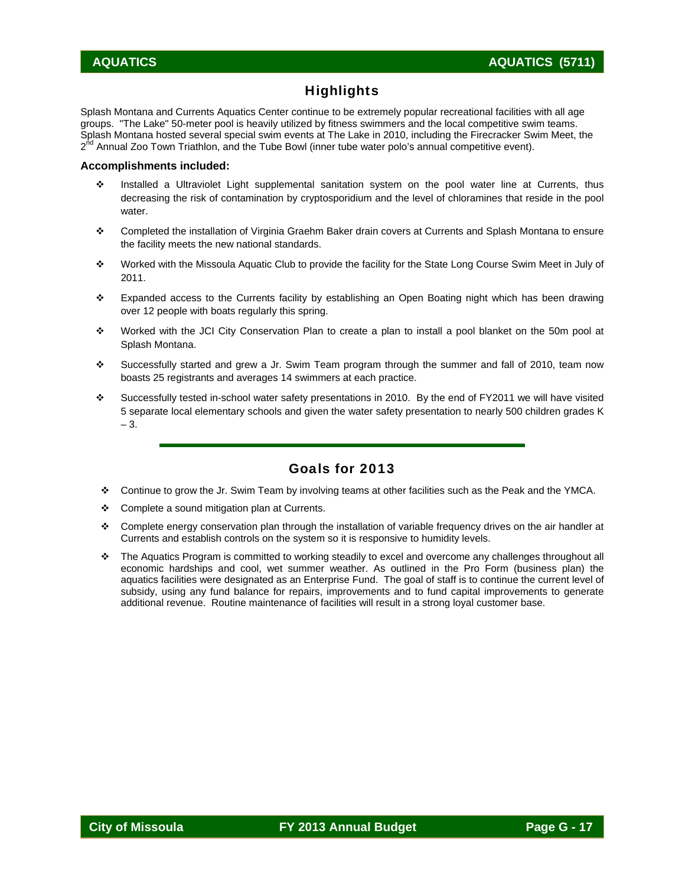# **Highlights**

Splash Montana and Currents Aquatics Center continue to be extremely popular recreational facilities with all age groups. "The Lake" 50-meter pool is heavily utilized by fitness swimmers and the local competitive swim teams. Splash Montana hosted several special swim events at The Lake in 2010, including the Firecracker Swim Meet, the 2<sup>nd</sup> Annual Zoo Town Triathlon, and the Tube Bowl (inner tube water polo's annual competitive event).

#### **Accomplishments included:**

- Installed a Ultraviolet Light supplemental sanitation system on the pool water line at Currents, thus decreasing the risk of contamination by cryptosporidium and the level of chloramines that reside in the pool water.
- Completed the installation of Virginia Graehm Baker drain covers at Currents and Splash Montana to ensure the facility meets the new national standards.
- Worked with the Missoula Aquatic Club to provide the facility for the State Long Course Swim Meet in July of 2011.
- Expanded access to the Currents facility by establishing an Open Boating night which has been drawing over 12 people with boats regularly this spring.
- Worked with the JCI City Conservation Plan to create a plan to install a pool blanket on the 50m pool at Splash Montana.
- Successfully started and grew a Jr. Swim Team program through the summer and fall of 2010, team now boasts 25 registrants and averages 14 swimmers at each practice.
- Successfully tested in-school water safety presentations in 2010. By the end of FY2011 we will have visited 5 separate local elementary schools and given the water safety presentation to nearly 500 children grades K – 3.

#### Goals for 2013

- Continue to grow the Jr. Swim Team by involving teams at other facilities such as the Peak and the YMCA.
- Complete a sound mitigation plan at Currents.
- Complete energy conservation plan through the installation of variable frequency drives on the air handler at Currents and establish controls on the system so it is responsive to humidity levels.
- The Aquatics Program is committed to working steadily to excel and overcome any challenges throughout all economic hardships and cool, wet summer weather. As outlined in the Pro Form (business plan) the aquatics facilities were designated as an Enterprise Fund. The goal of staff is to continue the current level of subsidy, using any fund balance for repairs, improvements and to fund capital improvements to generate additional revenue. Routine maintenance of facilities will result in a strong loyal customer base.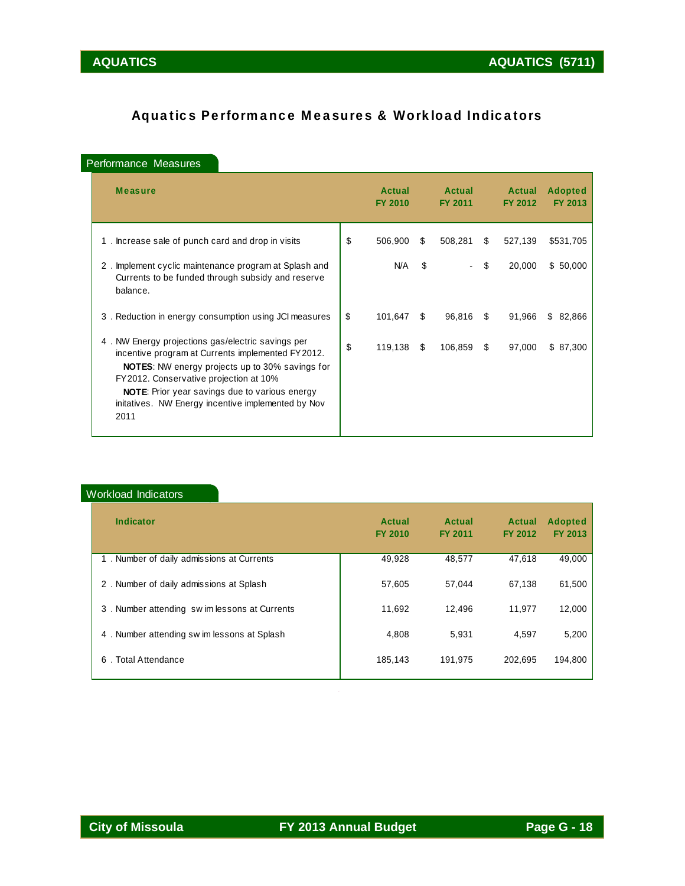# Aquatics Performance Measures & Workload Indicators

### Performance Measures

| <b>Measure</b>                                                                                                                                                                                                                                                                                                                     | <b>Actual</b><br><b>FY 2010</b> |     | Actual<br><b>FY 2011</b> |     | <b>Actual</b><br><b>FY 2012</b> | <b>Adopted</b><br>FY 2013 |
|------------------------------------------------------------------------------------------------------------------------------------------------------------------------------------------------------------------------------------------------------------------------------------------------------------------------------------|---------------------------------|-----|--------------------------|-----|---------------------------------|---------------------------|
| 1. Increase sale of punch card and drop in visits                                                                                                                                                                                                                                                                                  | \$<br>506,900                   | \$. | 508,281                  | \$. | 527,139                         | \$531,705                 |
| Implement cyclic maintenance program at Splash and<br>2.<br>Currents to be funded through subsidy and reserve<br>balance.                                                                                                                                                                                                          | N/A                             | \$  |                          | \$  | 20,000                          | \$50,000                  |
| 3. Reduction in energy consumption using JCI measures                                                                                                                                                                                                                                                                              | \$<br>101,647                   | \$  | 96,816                   | S   | 91,966                          | S.<br>82,866              |
| 4. NW Energy projections gas/electric savings per<br>incentive program at Currents implemented FY2012.<br><b>NOTES:</b> NW energy projects up to 30% savings for<br>FY 2012. Conservative projection at 10%<br><b>NOTE:</b> Prior year savings due to various energy<br>initatives. NW Energy incentive implemented by Nov<br>2011 | \$<br>119,138                   | \$  | 106,859                  | S   | 97,000                          | \$87,300                  |

#### Workload Indicators

| <b>Indicator</b>                             | Actual<br><b>FY 2010</b> | <b>Actual</b><br><b>FY 2011</b> | <b>Actual</b><br><b>FY 2012</b> | <b>Adopted</b><br>FY 2013 |
|----------------------------------------------|--------------------------|---------------------------------|---------------------------------|---------------------------|
| 1. Number of daily admissions at Currents    | 49,928                   | 48.577                          | 47.618                          | 49,000                    |
| 2. Number of daily admissions at Splash      | 57,605                   | 57.044                          | 67,138                          | 61,500                    |
| 3. Number attending swim lessons at Currents | 11.692                   | 12.496                          | 11.977                          | 12.000                    |
| 4. Number attending sw im lessons at Splash  | 4.808                    | 5.931                           | 4.597                           | 5,200                     |
| . Total Attendance<br>6                      | 185.143                  | 191.975                         | 202.695                         | 194.800                   |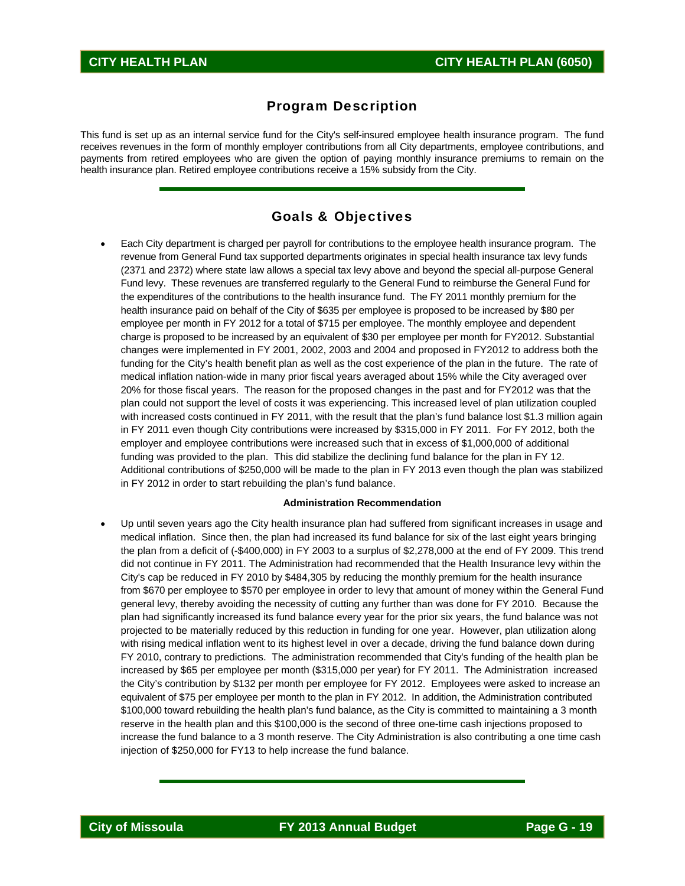#### Program Description

This fund is set up as an internal service fund for the City's self-insured employee health insurance program. The fund receives revenues in the form of monthly employer contributions from all City departments, employee contributions, and payments from retired employees who are given the option of paying monthly insurance premiums to remain on the health insurance plan. Retired employee contributions receive a 15% subsidy from the City.

#### Goals & Objectives

 Each City department is charged per payroll for contributions to the employee health insurance program. The revenue from General Fund tax supported departments originates in special health insurance tax levy funds (2371 and 2372) where state law allows a special tax levy above and beyond the special all-purpose General Fund levy. These revenues are transferred regularly to the General Fund to reimburse the General Fund for the expenditures of the contributions to the health insurance fund. The FY 2011 monthly premium for the health insurance paid on behalf of the City of \$635 per employee is proposed to be increased by \$80 per employee per month in FY 2012 for a total of \$715 per employee. The monthly employee and dependent charge is proposed to be increased by an equivalent of \$30 per employee per month for FY2012. Substantial changes were implemented in FY 2001, 2002, 2003 and 2004 and proposed in FY2012 to address both the funding for the City's health benefit plan as well as the cost experience of the plan in the future. The rate of medical inflation nation-wide in many prior fiscal years averaged about 15% while the City averaged over 20% for those fiscal years. The reason for the proposed changes in the past and for FY2012 was that the plan could not support the level of costs it was experiencing. This increased level of plan utilization coupled with increased costs continued in FY 2011, with the result that the plan's fund balance lost \$1.3 million again in FY 2011 even though City contributions were increased by \$315,000 in FY 2011. For FY 2012, both the employer and employee contributions were increased such that in excess of \$1,000,000 of additional funding was provided to the plan. This did stabilize the declining fund balance for the plan in FY 12. Additional contributions of \$250,000 will be made to the plan in FY 2013 even though the plan was stabilized in FY 2012 in order to start rebuilding the plan's fund balance.

#### **Administration Recommendation**

 Up until seven years ago the City health insurance plan had suffered from significant increases in usage and medical inflation. Since then, the plan had increased its fund balance for six of the last eight years bringing the plan from a deficit of (-\$400,000) in FY 2003 to a surplus of \$2,278,000 at the end of FY 2009. This trend did not continue in FY 2011. The Administration had recommended that the Health Insurance levy within the City's cap be reduced in FY 2010 by \$484,305 by reducing the monthly premium for the health insurance from \$670 per employee to \$570 per employee in order to levy that amount of money within the General Fund general levy, thereby avoiding the necessity of cutting any further than was done for FY 2010. Because the plan had significantly increased its fund balance every year for the prior six years, the fund balance was not projected to be materially reduced by this reduction in funding for one year. However, plan utilization along with rising medical inflation went to its highest level in over a decade, driving the fund balance down during FY 2010, contrary to predictions. The administration recommended that City's funding of the health plan be increased by \$65 per employee per month (\$315,000 per year) for FY 2011. The Administration increased the City's contribution by \$132 per month per employee for FY 2012. Employees were asked to increase an equivalent of \$75 per employee per month to the plan in FY 2012. In addition, the Administration contributed \$100,000 toward rebuilding the health plan's fund balance, as the City is committed to maintaining a 3 month reserve in the health plan and this \$100,000 is the second of three one-time cash injections proposed to increase the fund balance to a 3 month reserve. The City Administration is also contributing a one time cash injection of \$250,000 for FY13 to help increase the fund balance.